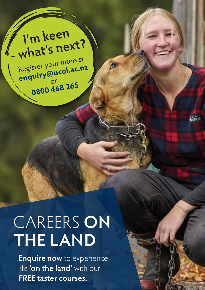**I'm keen - what's next?** Register your interest **enquiry@ucol.ac.nz** or **0800 468 265**

# CAREERS **ON THE LAND**

**Enquire now** to experience life **'on the land'** with our **FREE taster courses.**